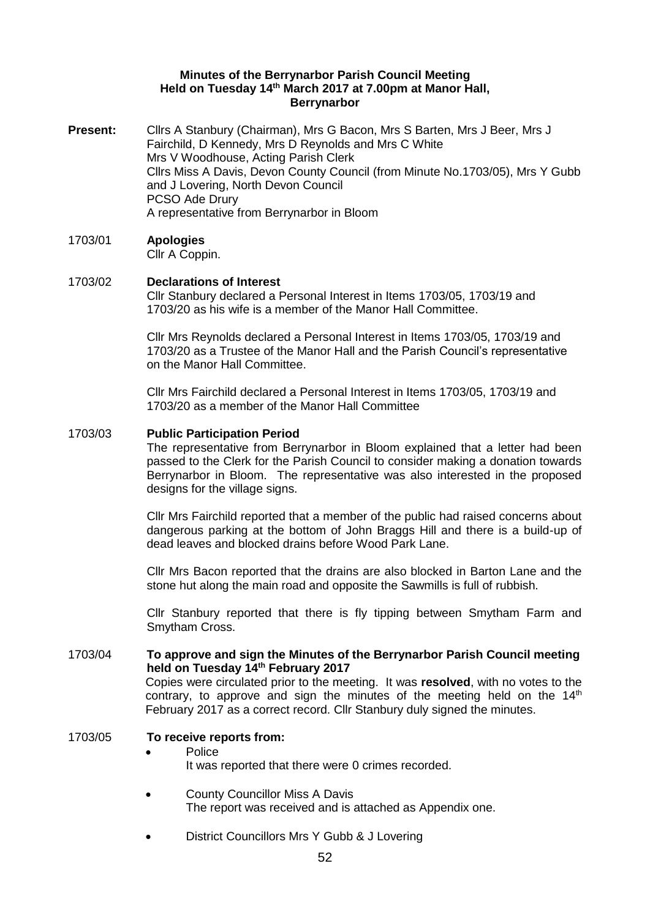#### **Minutes of the Berrynarbor Parish Council Meeting Held on Tuesday 14th March 2017 at 7.00pm at Manor Hall, Berrynarbor**

**Present:** Cllrs A Stanbury (Chairman), Mrs G Bacon, Mrs S Barten, Mrs J Beer, Mrs J Fairchild, D Kennedy, Mrs D Reynolds and Mrs C White Mrs V Woodhouse, Acting Parish Clerk Cllrs Miss A Davis, Devon County Council (from Minute No.1703/05), Mrs Y Gubb and J Lovering, North Devon Council PCSO Ade Drury A representative from Berrynarbor in Bloom

# 1703/01 **Apologies**

Cllr A Coppin.

#### 1703/02 **Declarations of Interest**  Cllr Stanbury declared a Personal Interest in Items 1703/05, 1703/19 and 1703/20 as his wife is a member of the Manor Hall Committee.

Cllr Mrs Reynolds declared a Personal Interest in Items 1703/05, 1703/19 and 1703/20 as a Trustee of the Manor Hall and the Parish Council's representative on the Manor Hall Committee.

Cllr Mrs Fairchild declared a Personal Interest in Items 1703/05, 1703/19 and 1703/20 as a member of the Manor Hall Committee

# 1703/03 **Public Participation Period**

The representative from Berrynarbor in Bloom explained that a letter had been passed to the Clerk for the Parish Council to consider making a donation towards Berrynarbor in Bloom. The representative was also interested in the proposed designs for the village signs.

Cllr Mrs Fairchild reported that a member of the public had raised concerns about dangerous parking at the bottom of John Braggs Hill and there is a build-up of dead leaves and blocked drains before Wood Park Lane.

Cllr Mrs Bacon reported that the drains are also blocked in Barton Lane and the stone hut along the main road and opposite the Sawmills is full of rubbish.

Cllr Stanbury reported that there is fly tipping between Smytham Farm and Smytham Cross.

#### 1703/04 **To approve and sign the Minutes of the Berrynarbor Parish Council meeting held on Tuesday 14th February 2017** Copies were circulated prior to the meeting. It was **resolved**, with no votes to the

contrary, to approve and sign the minutes of the meeting held on the  $14<sup>th</sup>$ February 2017 as a correct record. Cllr Stanbury duly signed the minutes.

# 1703/05 **To receive reports from:**

- Police It was reported that there were 0 crimes recorded.
- County Councillor Miss A Davis The report was received and is attached as Appendix one.
- District Councillors Mrs Y Gubb & J Lovering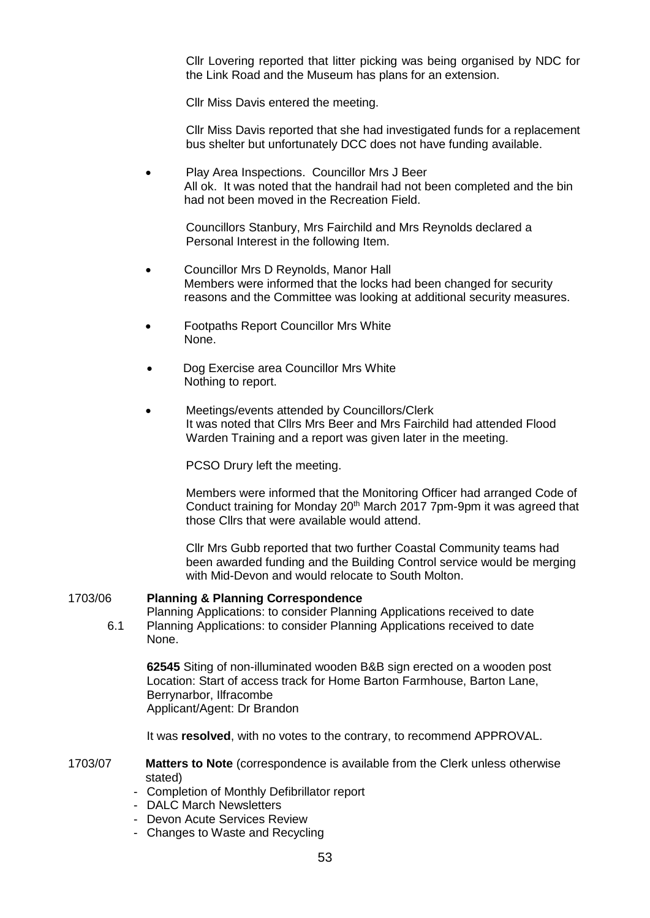Cllr Lovering reported that litter picking was being organised by NDC for the Link Road and the Museum has plans for an extension.

Cllr Miss Davis entered the meeting.

Cllr Miss Davis reported that she had investigated funds for a replacement bus shelter but unfortunately DCC does not have funding available.

• Play Area Inspections. Councillor Mrs J Beer All ok. It was noted that the handrail had not been completed and the bin had not been moved in the Recreation Field.

Councillors Stanbury, Mrs Fairchild and Mrs Reynolds declared a Personal Interest in the following Item.

- Councillor Mrs D Reynolds, Manor Hall Members were informed that the locks had been changed for security reasons and the Committee was looking at additional security measures.
- Footpaths Report Councillor Mrs White None.
- Dog Exercise area Councillor Mrs White Nothing to report.
- Meetings/events attended by Councillors/Clerk It was noted that Cllrs Mrs Beer and Mrs Fairchild had attended Flood Warden Training and a report was given later in the meeting.

PCSO Drury left the meeting.

Members were informed that the Monitoring Officer had arranged Code of Conduct training for Monday 20<sup>th</sup> March 2017 7pm-9pm it was agreed that those Cllrs that were available would attend.

Cllr Mrs Gubb reported that two further Coastal Community teams had been awarded funding and the Building Control service would be merging with Mid-Devon and would relocate to South Molton.

### 1703/06 **Planning & Planning Correspondence**

Planning Applications: to consider Planning Applications received to date 6.1 Planning Applications: to consider Planning Applications received to date None.

**62545** Siting of non-illuminated wooden B&B sign erected on a wooden post Location: Start of access track for Home Barton Farmhouse, Barton Lane, Berrynarbor, Ilfracombe Applicant/Agent: Dr Brandon

It was **resolved**, with no votes to the contrary, to recommend APPROVAL.

1703/07 **Matters to Note** (correspondence is available from the Clerk unless otherwise stated)

- Completion of Monthly Defibrillator report
- DALC March Newsletters
- Devon Acute Services Review
- Changes to Waste and Recycling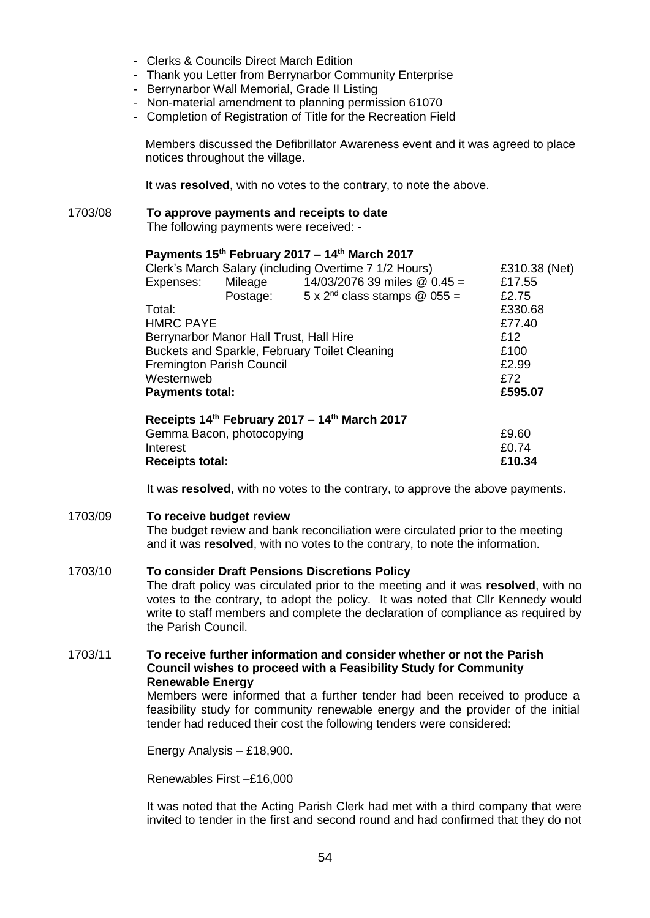- Clerks & Councils Direct March Edition
- Thank you Letter from Berrynarbor Community Enterprise
- Berrynarbor Wall Memorial, Grade II Listing
- Non-material amendment to planning permission 61070
- Completion of Registration of Title for the Recreation Field

Members discussed the Defibrillator Awareness event and it was agreed to place notices throughout the village.

It was **resolved**, with no votes to the contrary, to note the above.

## 1703/08 **To approve payments and receipts to date**

The following payments were received: -

# **Payments 15th February 2017 – 14th March 2017**

| Clerk's March Salary (including Overtime 7 1/2 Hours) | £310.38 (Net) |                                               |         |
|-------------------------------------------------------|---------------|-----------------------------------------------|---------|
| Expenses:                                             | Mileage       | 14/03/2076 39 miles @ 0.45 =                  | £17.55  |
|                                                       | Postage:      | $5 \times 2^{nd}$ class stamps @ 055 =        | £2.75   |
| Total:                                                |               |                                               | £330.68 |
| <b>HMRC PAYE</b>                                      |               |                                               | £77.40  |
| Berrynarbor Manor Hall Trust, Hall Hire               |               |                                               | £12     |
| Buckets and Sparkle, February Toilet Cleaning         |               |                                               | £100    |
| <b>Fremington Parish Council</b>                      |               |                                               | £2.99   |
| Westernweb                                            |               |                                               | £72     |
| <b>Payments total:</b>                                |               |                                               | £595.07 |
|                                                       |               | Receipts 14th February 2017 - 14th March 2017 |         |
| Gemma Bacon, photocopying                             |               |                                               | £9.60   |

| <b>Receipts total:</b>    | £10.34 |
|---------------------------|--------|
| Interest                  | £0.74  |
| Gemma Bacon, photocopying | £9.60  |

It was **resolved**, with no votes to the contrary, to approve the above payments.

### 1703/09 **To receive budget review**

The budget review and bank reconciliation were circulated prior to the meeting and it was **resolved**, with no votes to the contrary, to note the information.

# 1703/10 **To consider Draft Pensions Discretions Policy**

The draft policy was circulated prior to the meeting and it was **resolved**, with no votes to the contrary, to adopt the policy. It was noted that Cllr Kennedy would write to staff members and complete the declaration of compliance as required by the Parish Council.

### 1703/11 **To receive further information and consider whether or not the Parish Council wishes to proceed with a Feasibility Study for Community Renewable Energy**

Members were informed that a further tender had been received to produce a feasibility study for community renewable energy and the provider of the initial tender had reduced their cost the following tenders were considered:

Energy Analysis – £18,900.

Renewables First –£16,000

It was noted that the Acting Parish Clerk had met with a third company that were invited to tender in the first and second round and had confirmed that they do not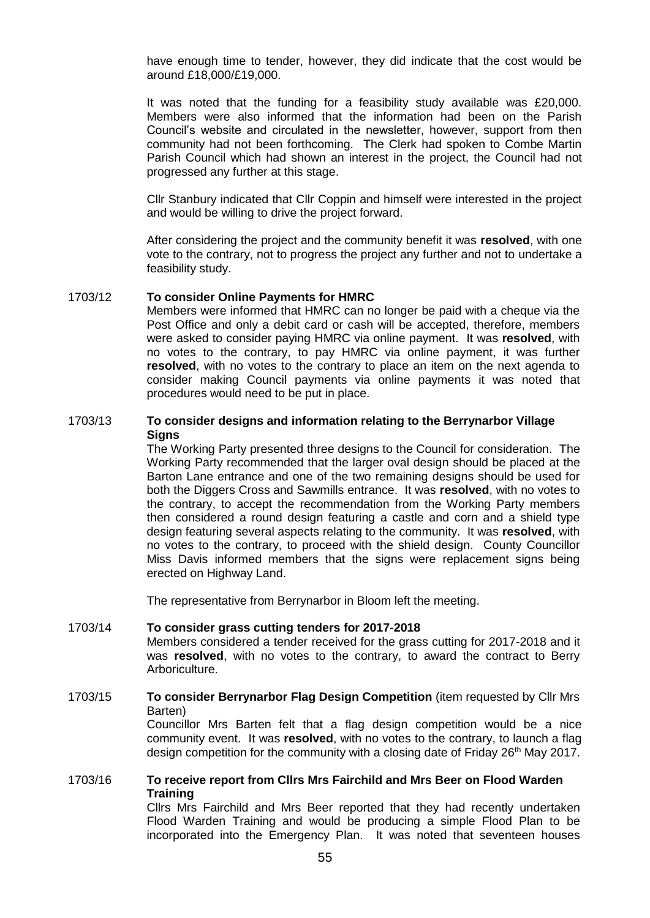have enough time to tender, however, they did indicate that the cost would be around £18,000/£19,000.

It was noted that the funding for a feasibility study available was £20,000. Members were also informed that the information had been on the Parish Council's website and circulated in the newsletter, however, support from then community had not been forthcoming. The Clerk had spoken to Combe Martin Parish Council which had shown an interest in the project, the Council had not progressed any further at this stage.

Cllr Stanbury indicated that Cllr Coppin and himself were interested in the project and would be willing to drive the project forward.

After considering the project and the community benefit it was **resolved**, with one vote to the contrary, not to progress the project any further and not to undertake a feasibility study.

#### 1703/12 **To consider Online Payments for HMRC**

Members were informed that HMRC can no longer be paid with a cheque via the Post Office and only a debit card or cash will be accepted, therefore, members were asked to consider paying HMRC via online payment. It was **resolved**, with no votes to the contrary, to pay HMRC via online payment, it was further **resolved**, with no votes to the contrary to place an item on the next agenda to consider making Council payments via online payments it was noted that procedures would need to be put in place.

### 1703/13 **To consider designs and information relating to the Berrynarbor Village Signs**

The Working Party presented three designs to the Council for consideration. The Working Party recommended that the larger oval design should be placed at the Barton Lane entrance and one of the two remaining designs should be used for both the Diggers Cross and Sawmills entrance. It was **resolved**, with no votes to the contrary, to accept the recommendation from the Working Party members then considered a round design featuring a castle and corn and a shield type design featuring several aspects relating to the community. It was **resolved**, with no votes to the contrary, to proceed with the shield design. County Councillor Miss Davis informed members that the signs were replacement signs being erected on Highway Land.

The representative from Berrynarbor in Bloom left the meeting.

### 1703/14 **To consider grass cutting tenders for 2017-2018**  Members considered a tender received for the grass cutting for 2017-2018 and it was **resolved**, with no votes to the contrary, to award the contract to Berry Arboriculture.

1703/15 **To consider Berrynarbor Flag Design Competition** (item requested by Cllr Mrs Barten) Councillor Mrs Barten felt that a flag design competition would be a nice community event. It was **resolved**, with no votes to the contrary, to launch a flag design competition for the community with a closing date of Friday 26<sup>th</sup> May 2017.

## 1703/16 **To receive report from Cllrs Mrs Fairchild and Mrs Beer on Flood Warden Training**

Cllrs Mrs Fairchild and Mrs Beer reported that they had recently undertaken Flood Warden Training and would be producing a simple Flood Plan to be incorporated into the Emergency Plan. It was noted that seventeen houses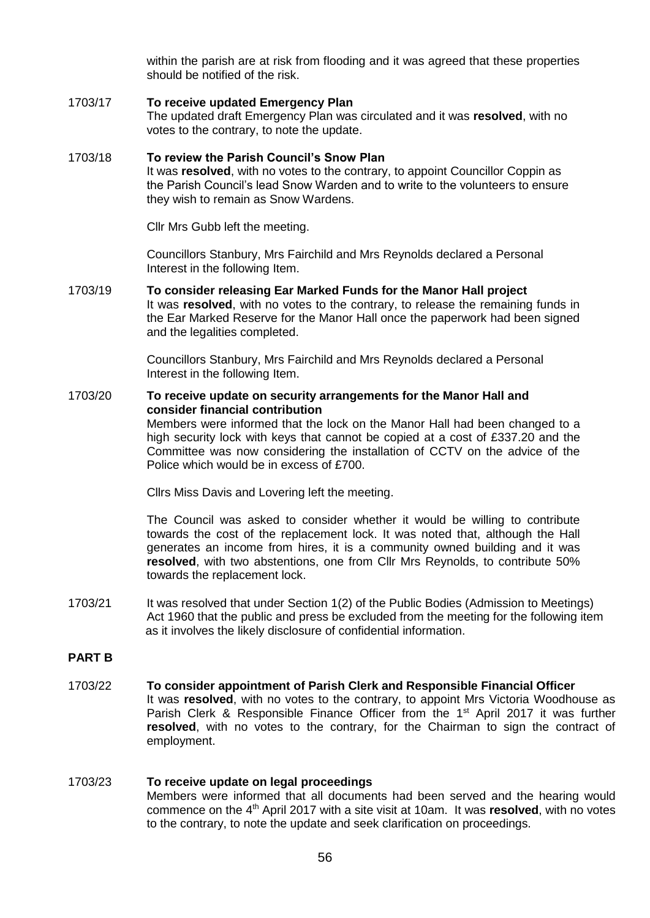within the parish are at risk from flooding and it was agreed that these properties should be notified of the risk.

### 1703/17 **To receive updated Emergency Plan** The updated draft Emergency Plan was circulated and it was **resolved**, with no votes to the contrary, to note the update.

# 1703/18 **To review the Parish Council's Snow Plan**  It was **resolved**, with no votes to the contrary, to appoint Councillor Coppin as the Parish Council's lead Snow Warden and to write to the volunteers to ensure they wish to remain as Snow Wardens.

Cllr Mrs Gubb left the meeting.

Councillors Stanbury, Mrs Fairchild and Mrs Reynolds declared a Personal Interest in the following Item.

1703/19 **To consider releasing Ear Marked Funds for the Manor Hall project**  It was **resolved**, with no votes to the contrary, to release the remaining funds in the Ear Marked Reserve for the Manor Hall once the paperwork had been signed and the legalities completed.

> Councillors Stanbury, Mrs Fairchild and Mrs Reynolds declared a Personal Interest in the following Item.

#### 1703/20 **To receive update on security arrangements for the Manor Hall and consider financial contribution**  Members were informed that the lock on the Manor Hall had been changed to a high security lock with keys that cannot be copied at a cost of £337.20 and the Committee was now considering the installation of CCTV on the advice of the Police which would be in excess of £700.

Cllrs Miss Davis and Lovering left the meeting.

The Council was asked to consider whether it would be willing to contribute towards the cost of the replacement lock. It was noted that, although the Hall generates an income from hires, it is a community owned building and it was **resolved**, with two abstentions, one from Cllr Mrs Reynolds, to contribute 50% towards the replacement lock.

1703/21 It was resolved that under Section 1(2) of the Public Bodies (Admission to Meetings) Act 1960 that the public and press be excluded from the meeting for the following item as it involves the likely disclosure of confidential information.

# **PART B**

1703/22 **To consider appointment of Parish Clerk and Responsible Financial Officer** It was **resolved**, with no votes to the contrary, to appoint Mrs Victoria Woodhouse as Parish Clerk & Responsible Finance Officer from the 1<sup>st</sup> April 2017 it was further **resolved**, with no votes to the contrary, for the Chairman to sign the contract of employment.

#### 1703/23 **To receive update on legal proceedings** Members were informed that all documents had been served and the hearing would commence on the 4th April 2017 with a site visit at 10am. It was **resolved**, with no votes to the contrary, to note the update and seek clarification on proceedings.